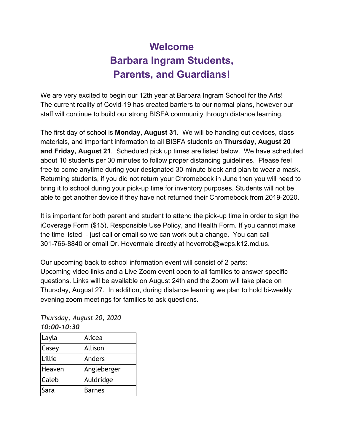# **Welcome Barbara Ingram Students, Parents, and Guardians!**

We are very excited to begin our 12th year at Barbara Ingram School for the Arts! The current reality of Covid-19 has created barriers to our normal plans, however our staff will continue to build our strong BISFA community through distance learning.

The first day of school is **Monday, August 31**. We will be handing out devices, class materials, and important information to all BISFA students on **Thursday, August 20 and Friday, August 21**. Scheduled pick up times are listed below. We have scheduled about 10 students per 30 minutes to follow proper distancing guidelines. Please feel free to come anytime during your designated 30-minute block and plan to wear a mask. Returning students, if you did not return your Chromebook in June then you will need to bring it to school during your pick-up time for inventory purposes. Students will not be able to get another device if they have not returned their Chromebook from 2019-2020.

It is important for both parent and student to attend the pick-up time in order to sign the iCoverage Form (\$15), Responsible Use Policy, and Health Form. If you cannot make the time listed - just call or email so we can work out a change. You can call 301-766-8840 or email Dr. Hovermale directly at hoverrob@wcps.k12.md.us.

Our upcoming back to school information event will consist of 2 parts: Upcoming video links and a Live Zoom event open to all families to answer specific questions. Links will be available on August 24th and the Zoom will take place on Thursday, August 27. In addition, during distance learning we plan to hold bi-weekly evening zoom meetings for families to ask questions.

*Thursday, August 20, 2020 10:00-10:30*

| Layla        | Alicea        |
|--------------|---------------|
| <b>Casey</b> | Allison       |
| Lillie       | Anders        |
| Heaven       | Angleberger   |
| <b>Caleb</b> | Auldridge     |
| Sara         | <b>Barnes</b> |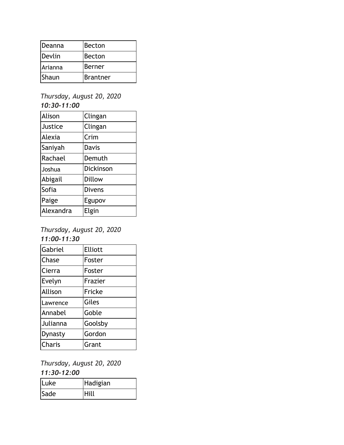| Deanna  | Becton        |
|---------|---------------|
| Devlin  | Becton        |
| Arianna | <b>Berner</b> |
| Shaun   | Brantner      |

## *Thursday, August 20, 2020 10:30-11:00*

| Alison    | Clingan       |
|-----------|---------------|
| Justice   | Clingan       |
| Alexia    | Crim          |
| Saniyah   | Davis         |
| Rachael   | Demuth        |
| Joshua    | Dickinson     |
| Abigail   | <b>Dillow</b> |
| Sofia     | <b>Divens</b> |
| Paige     | Egupov        |
| Alexandra | Elgin         |
|           |               |

#### *Thursday, August 20, 2020 11:00-11:30*

| Gabriel  | <b>Elliott</b> |
|----------|----------------|
| Chase    | Foster         |
| Cierra   | Foster         |
| Evelyn   | Frazier        |
| Allison  | Fricke         |
| Lawrence | Giles          |
| Annabel  | Goble          |
| Julianna | Goolsby        |
| Dynasty  | Gordon         |
|          |                |

# *Thursday, August 20, 2020 11:30-12:00*

| Luke | Hadigian    |
|------|-------------|
| Sade | <b>Hill</b> |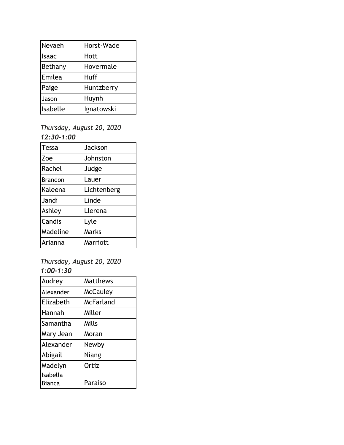| Horst-Wade  |
|-------------|
| Hott        |
| Hovermale   |
| <b>Huff</b> |
| Huntzberry  |
| Huynh       |
| Ignatowski  |
|             |

*Thursday, August 20, 2020 12:30-1:00*

| Tessa          | Jackson     |
|----------------|-------------|
| Zoe            | Johnston    |
| Rachel         | Judge       |
| <b>Brandon</b> | Lauer       |
| Kaleena        | Lichtenberg |
| Jandi          | Linde       |
| Ashley         | Llerena     |
| Candis         | Lyle        |
| Madeline       | Marks       |
| Arianna        | Marriott    |
|                |             |

*Thursday, August 20, 2020 1:00-1:30*

| Audrey    | Matthews        |
|-----------|-----------------|
| Alexander | <b>McCauley</b> |
| Elizabeth | McFarland       |
| Hannah    | Miller          |
| Samantha  | Mills           |
| Mary Jean | Moran           |
| Alexander | Newby           |
| Abigail   | Niang           |
| Madelyn   | Ortiz           |
| Isabella  |                 |
| Bianca    | Paraiso         |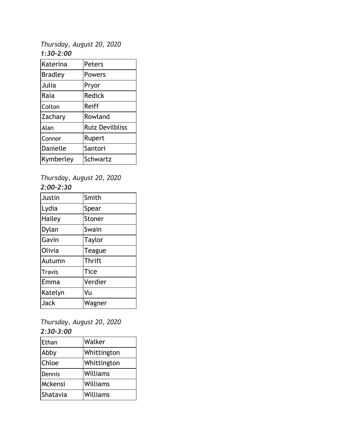*Thursday, August 20, 2020 1:30-2:00*

| Katerina       | Peters                 |
|----------------|------------------------|
| <b>Bradley</b> | Powers                 |
| Julia          | Pryor                  |
| Raia           | Redick                 |
| Colton         | Reiff                  |
| Zachary        | Rowland                |
| Alan           | <b>Ruiz Devilbliss</b> |
| Connor         | Rupert                 |
| Danielle       | Santori                |
| Kymberley      | Schwartz               |

## *Thursday, August 20, 2020 2:00-2:30*

| Justin        | Smith         |
|---------------|---------------|
| Lydia         | Spear         |
| Hailey        | Stoner        |
| Dylan         | Swain         |
| Gavin         | <b>Taylor</b> |
| Olivia        | Teague        |
| Autumn        | <b>Thrift</b> |
| <b>Travis</b> | Tice          |
| Emma          | Verdier       |
| Katelyn       | Vu            |
| Jack          | Wagner        |

*Thursday, August 20, 2020 2:30-3:00*

| Ethan    | Walker      |
|----------|-------------|
| Abby     | Whittington |
| Chloe    | Whittington |
| Dennis   | Williams    |
| Mckensi  | Williams    |
| Shatavia | Williams    |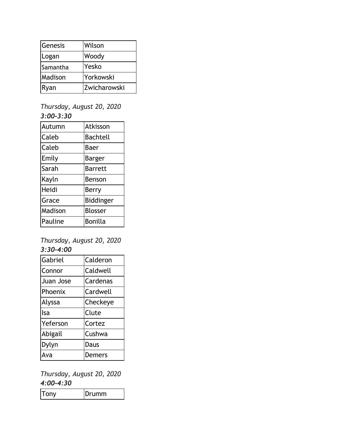| Genesis  | Wilson       |
|----------|--------------|
| Logan    | Woody        |
| Samantha | Yesko        |
| Madison  | Yorkowski    |
| Ryan     | Zwicharowski |

## *Thursday, August 20, 2020 3:00-3:30*

| Autumn  | Atkisson         |
|---------|------------------|
| Caleb   | Bachtell         |
| Caleb   | Baer             |
| Emily   | Barger           |
| Sarah   | <b>Barrett</b>   |
| Kayln   | Benson           |
| Heidi   | Berry            |
| Grace   | <b>Biddinger</b> |
| Madison | Blosser          |
| Pauline | Bonilla          |

## *Thursday, August 20, 2020 3:30-4:00*

| Calderon |
|----------|
| Caldwell |
| Cardenas |
| Cardwell |
| Checkeye |
| Clute    |
| Cortez   |
| Cushwa   |
| Daus     |
| Demers   |
|          |

## *Thursday, August 20, 2020 4:00-4:30*

| I onv<br><b>IDrumm</b><br>$\mathbf l$ |  |
|---------------------------------------|--|
|---------------------------------------|--|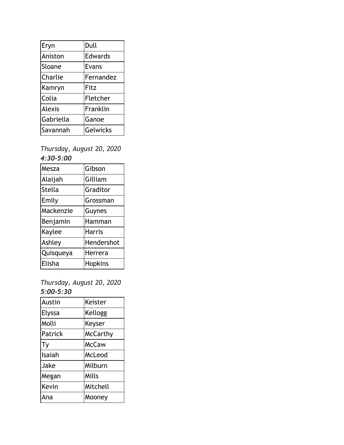| Eryn          | Dull           |
|---------------|----------------|
| Aniston       | <b>Edwards</b> |
| Sloane        | Evans          |
| Charlie       | Fernandez      |
| Kamryn        | Fitz           |
| Colia         | Fletcher       |
| <b>Alexis</b> | Franklin       |
| Gabriella     | Ganoe          |
| Savannah      | Gelwicks       |

#### *Thursday, August 20, 2020 4:30-5:00*

| Mesza     | Gibson         |
|-----------|----------------|
| Alaijah   | Gilliam        |
| Stella    | Graditor       |
| Emily     | Grossman       |
| Mackenzie | Guynes         |
| Benjamin  | Hamman         |
| Kaylee    | <b>Harris</b>  |
| Ashley    | Hendershot     |
| Quisqueya | Herrera        |
| Elisha    | <b>Hopkins</b> |

*Thursday, August 20, 2020 5:00-5:30*

| Austin  | Keister      |
|---------|--------------|
| Elyssa  | Kellogg      |
| Molli   | Keyser       |
| Patrick | McCarthy     |
| Ty      | <b>McCaw</b> |
| Isaiah  | McLeod       |
| Jake    | Milburn      |
| Megan   | Mills        |
| Kevin   | Mitchell     |
| Ana     | Mooney       |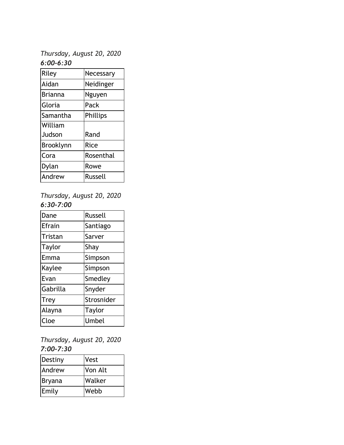*Thursday, August 20, 2020 6:00-6:30*

| Riley     | Necessary   |
|-----------|-------------|
| Aidan     | Neidinger   |
| Brianna   | Nguyen      |
| Gloria    | Pack        |
| Samantha  | Phillips    |
| William   |             |
| Judson    | Rand        |
| Brooklynn | <b>Rice</b> |
| Cora      | Rosenthal   |
| Dylan     | Rowe        |
| Andrew    | Russell     |

*Thursday, August 20, 2020 6:30-7:00*

| Dane     | <b>Russell</b> |
|----------|----------------|
| Efrain   | Santiago       |
| Tristan  | Sarver         |
| Taylor   | Shay           |
| Emma     | Simpson        |
| Kaylee   | Simpson        |
| Evan     | Smedley        |
| Gabrilla | Snyder         |
| Trey     | Strosnider     |
| Alayna   | Taylor         |
| Cloe     | Umbel          |

*Thursday, August 20, 2020 7:00-7:30*

| Destiny | Vest    |
|---------|---------|
| Andrew  | Von Alt |
| Bryana  | Walker  |
| Emily   | Webb    |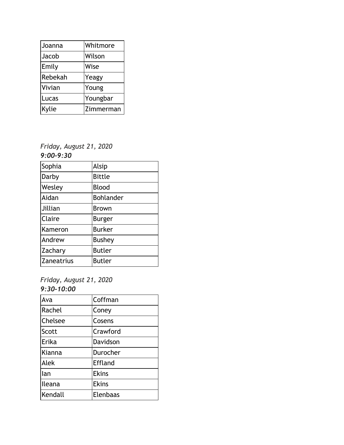| Joanna  | Whitmore  |
|---------|-----------|
| Jacob   | Wilson    |
| Emily   | Wise      |
| Rebekah | Yeagy     |
| Vivian  | Young     |
| Lucas   | Youngbar  |
| Kylie   | Zimmerman |

*Friday, August 21, 2020 9:00-9:30*

| Sophia            | Alsip         |
|-------------------|---------------|
| Darby             | <b>Bittle</b> |
| Wesley            | Blood         |
| Aidan             | Bohlander     |
| Jillian           | <b>Brown</b>  |
| Claire            | <b>Burger</b> |
| Kameron           | <b>Burker</b> |
| Andrew            | <b>Bushey</b> |
| Zachary           | <b>Butler</b> |
| <b>Zaneatrius</b> | <b>Butler</b> |

*Friday, August 21, 2020 9:30-10:00*

| Ava     | Coffman      |
|---------|--------------|
| Rachel  | Coney        |
| Chelsee | Cosens       |
| Scott   | Crawford     |
| Erika   | Davidson     |
| Kianna  | Durocher     |
| Alek    | Effland      |
| lan     | <b>Ekins</b> |
| Ileana  | <b>Ekins</b> |
| Kendall | Elenbaas     |
|         |              |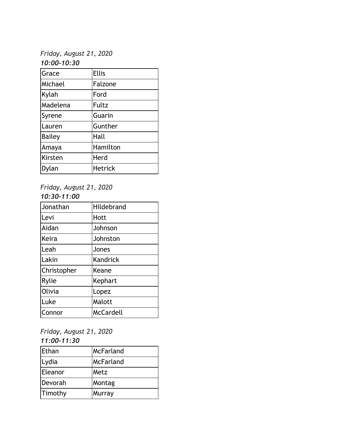*Friday, August 21, 2020 10:00-10:30*

| Grace         | <b>Ellis</b>   |
|---------------|----------------|
| Michael       | Falzone        |
| Kylah         | Ford           |
| Madelena      | Fultz          |
| Syrene        | Guarin         |
| Lauren        | Gunther        |
| <b>Bailey</b> | Hall           |
| Amaya         | Hamilton       |
| Kirsten       | Herd           |
| Dylan         | <b>Hetrick</b> |

# *Friday, August 21, 2020*

*10:30-11:00*

| Jonathan    | Hildebrand |
|-------------|------------|
| Levi        | Hott       |
| Aidan       | Johnson    |
| Keira       | Johnston   |
| Leah        | Jones      |
| Lakin       | Kandrick   |
| Christopher | Keane      |
| Rylie       | Kephart    |
| Olivia      | Lopez      |
| Luke        | Malott     |
| Connor      | McCardell  |

#### *Friday, August 21, 2020 11:00-11:30*

| Ethan   | McFarland |
|---------|-----------|
| Lydia   | McFarland |
| Eleanor | Metz      |
| Devorah | Montag    |
| Timothy | Murray    |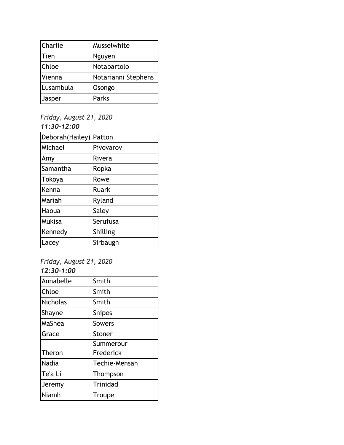| Charlie   | Musselwhite         |
|-----------|---------------------|
| Tien      | Nguyen              |
| Chloe     | Notabartolo         |
| Vienna    | Notarianni Stephens |
| Lusambula | Osongo              |
| Jasper    | Parks               |

## *Friday, August 21, 2020 11:30-12:00*

| Deborah (Hailey) | Patton    |
|------------------|-----------|
| Michael          | Pivovarov |
| Amy              | Rivera    |
| Samantha         | Ropka     |
| Tokoya           | Rowe      |
| Kenna            | Ruark     |
| Mariah           | Ryland    |
| Haoua            | Saley     |
| Mukisa           | Serufusa  |
| Kennedy          | Shilling  |
| Lacey            | Sirbaugh  |

# *Friday, August 21, 2020*

*12:30-1:00*

| Annabelle       | Smith           |
|-----------------|-----------------|
| Chloe           | Smith           |
| <b>Nicholas</b> | Smith           |
| Shayne          | <b>Snipes</b>   |
| MaShea          | <b>Sowers</b>   |
| Grace           | Stoner          |
|                 | Summerour       |
| Theron          | Frederick       |
| <b>Nadia</b>    | Techie-Mensah   |
| Te'a Li         | Thompson        |
| Jeremy          | <b>Trinidad</b> |
| Niamh           | Troupe          |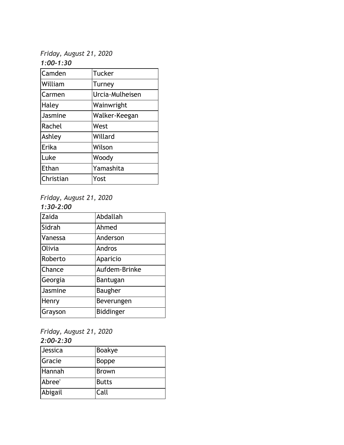*Friday, August 21, 2020 1:00-1:30*

| Camden    | Tucker          |
|-----------|-----------------|
| William   | Turney          |
| Carmen    | Urcia-Mulheisen |
| Haley     | Wainwright      |
| Jasmine   | Walker-Keegan   |
| Rachel    | West            |
| Ashley    | Willard         |
| Erika     | Wilson          |
| Luke      | Woody           |
| Ethan     | Yamashita       |
| Christian | Yost            |

## *Friday, August 21, 2020*

#### *1:30-2:00*

| Zaida   | Abdallah         |
|---------|------------------|
| Sidrah  | Ahmed            |
| Vanessa | Anderson         |
| Olivia  | Andros           |
| Roberto | Aparicio         |
| Chance  | Aufdem-Brinke    |
| Georgia | Bantugan         |
| Jasmine | <b>Baugher</b>   |
| Henry   | Beverungen       |
| Grayson | <b>Biddinger</b> |

# *Friday, August 21, 2020*

| $2:00 - 2:30$ |               |
|---------------|---------------|
| Jessica       | <b>Boakye</b> |
| Gracie        | <b>Boppe</b>  |
| Hannah        | <b>Brown</b>  |
| Abree'        | <b>Butts</b>  |
| Abigail       | Call          |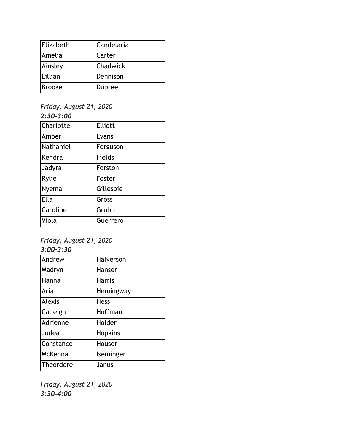| Elizabeth     | Candelaria      |
|---------------|-----------------|
| Amelia        | Carter          |
| Ainsley       | <b>Chadwick</b> |
| Lillian       | Dennison        |
| <b>Brooke</b> | Dupree          |

# *Friday, August 21, 2020*

## *2:30-3:00*

| Evans         |
|---------------|
|               |
| Ferguson      |
| <b>Fields</b> |
| Forston       |
| Foster        |
| Gillespie     |
| Gross         |
| Grubb         |
| Guerrero      |
|               |

# *Friday, August 21, 2020*

*3:00-3:30*

| Andrew        | Halverson      |
|---------------|----------------|
| Madryn        | Hanser         |
| Hanna         | <b>Harris</b>  |
| Aria          | Hemingway      |
| <b>Alexis</b> | <b>Hess</b>    |
| Calleigh      | Hoffman        |
| Adrienne      | Holder         |
| Judea         | <b>Hopkins</b> |
| Constance     | Houser         |
| McKenna       | Iseminger      |
| Theordore     | Janus          |
|               |                |

*Friday, August 21, 2020 3:30-4:00*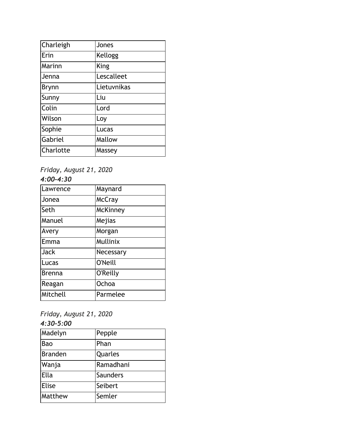| Charleigh    | Jones       |
|--------------|-------------|
| Erin         | Kellogg     |
| Marinn       | <b>King</b> |
| Jenna        | Lescalleet  |
| <b>Brynn</b> | Lietuvnikas |
| Sunny        | Liu         |
| Colin        | Lord        |
| Wilson       | Loy         |
| Sophie       | Lucas       |
| Gabriel      | Mallow      |
| Charlotte    | Massey      |

*Friday, August 21, 2020*

| FIIAAV, AUGUSL ZI, ZUZU |                |  |
|-------------------------|----------------|--|
| 4:00-4:30               |                |  |
| Lawrence                | Maynard        |  |
| Jonea                   | McCray         |  |
| Seth                    | McKinney       |  |
| Manuel                  | Mejias         |  |
| Avery                   | Morgan         |  |
| Emma                    | Mullinix       |  |
| Jack                    | Necessary      |  |
| Lucas                   | <b>O'Neill</b> |  |
| Brenna                  | O'Reilly       |  |
| Reagan                  | Ochoa          |  |
| Mitchell                | Parmelee       |  |
|                         |                |  |

*Friday, August 21, 2020 4:30-5:00*

| Madelyn        | Pepple    |
|----------------|-----------|
| Bao            | Phan      |
| <b>Branden</b> | Quarles   |
| Wanja          | Ramadhani |
| Ella           | Saunders  |
| <b>Elise</b>   | Seibert   |
| Matthew        | Semler    |
|                |           |